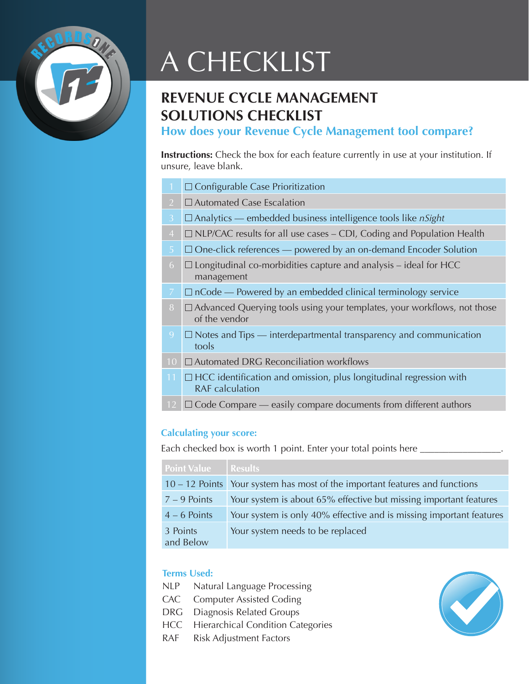

# A CHECKLIST

# **REVENUE CYCLE MANAGEMENT SOLUTIONS CHECKLIST**

**How does your Revenue Cycle Management tool compare?**

**Instructions:** Check the box for each feature currently in use at your institution. If unsure, leave blank.

|                | $\Box$ Configurable Case Prioritization                                                             |
|----------------|-----------------------------------------------------------------------------------------------------|
| $\overline{2}$ | $\Box$ Automated Case Escalation                                                                    |
| $\overline{3}$ | $\Box$ Analytics — embedded business intelligence tools like <i>nSight</i>                          |
| $\overline{4}$ | $\Box$ NLP/CAC results for all use cases – CDI, Coding and Population Health                        |
| 5              | $\Box$ One-click references — powered by an on-demand Encoder Solution                              |
| 6              | $\Box$ Longitudinal co-morbidities capture and analysis – ideal for HCC<br>management               |
| $\overline{7}$ | $\Box$ nCode — Powered by an embedded clinical terminology service                                  |
| 8              | $\Box$ Advanced Querying tools using your templates, your workflows, not those<br>of the vendor     |
| 9              | $\Box$ Notes and Tips — interdepartmental transparency and communication<br>tools                   |
| 10             | $\Box$ Automated DRG Reconciliation workflows                                                       |
| 11             | $\Box$ HCC identification and omission, plus longitudinal regression with<br><b>RAF</b> calculation |
| 12             | $\Box$ Code Compare — easily compare documents from different authors                               |
|                |                                                                                                     |

### **Calculating your score:**

Each checked box is worth 1 point. Enter your total points here \_

| <b>Point Value</b>    | <b>Results</b>                                                              |
|-----------------------|-----------------------------------------------------------------------------|
|                       | 10 – 12 Points Your system has most of the important features and functions |
| $7 - 9$ Points        | Your system is about 65% effective but missing important features           |
| $4 - 6$ Points        | Your system is only 40% effective and is missing important features         |
| 3 Points<br>and Below | Your system needs to be replaced                                            |

## **Terms Used:**

- NLP Natural Language Processing
- CAC Computer Assisted Coding
- DRG Diagnosis Related Groups
- HCC Hierarchical Condition Categories
- RAF Risk Adjustment Factors

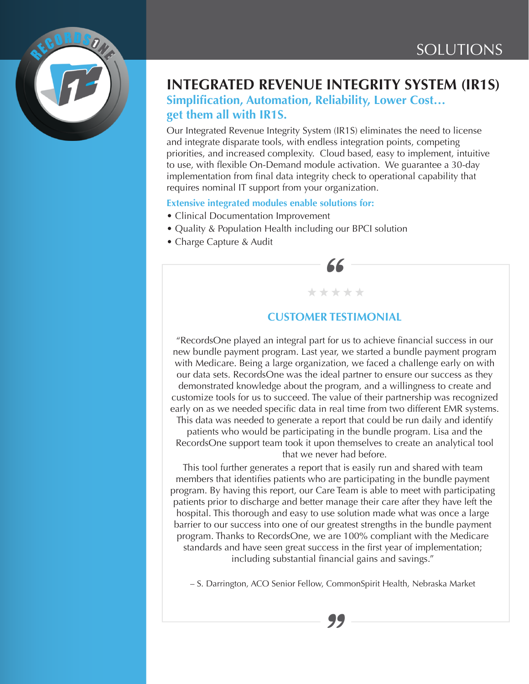

## **INTEGRATED REVENUE INTEGRITY SYSTEM (IR1S)**

**Simplification, Automation, Reliability, Lower Cost… get them all with IR1S.**

Our Integrated Revenue Integrity System (IR1S) eliminates the need to license and integrate disparate tools, with endless integration points, competing priorities, and increased complexity. Cloud based, easy to implement, intuitive to use, with flexible On-Demand module activation. We guarantee a 30-day implementation from final data integrity check to operational capability that requires nominal IT support from your organization.

**Extensive integrated modules enable solutions for:**

- Clinical Documentation Improvement
- Quality & Population Health including our BPCI solution
- Charge Capture & Audit



\* \* \* \* \*

"RecordsOne played an integral part for us to achieve financial success in our new bundle payment program. Last year, we started a bundle payment program with Medicare. Being a large organization, we faced a challenge early on with our data sets. RecordsOne was the ideal partner to ensure our success as they demonstrated knowledge about the program, and a willingness to create and customize tools for us to succeed. The value of their partnership was recognized early on as we needed specific data in real time from two different EMR systems.

This data was needed to generate a report that could be run daily and identify patients who would be participating in the bundle program. Lisa and the RecordsOne support team took it upon themselves to create an analytical tool that we never had before.

This tool further generates a report that is easily run and shared with team members that identifies patients who are participating in the bundle payment program. By having this report, our Care Team is able to meet with participating patients prior to discharge and better manage their care after they have left the hospital. This thorough and easy to use solution made what was once a large barrier to our success into one of our greatest strengths in the bundle payment program. Thanks to RecordsOne, we are 100% compliant with the Medicare standards and have seen great success in the first year of implementation; including substantial financial gains and savings."

– S. Darrington, ACO Senior Fellow, CommonSpirit Health, Nebraska Market manck<br>, Comn<br>99